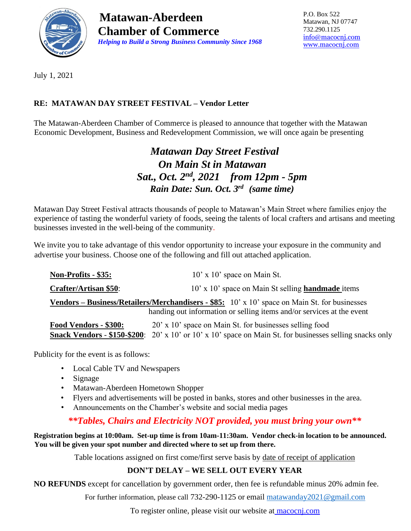

**Matawan-Aberdeen Chamber of Commerce**  *Helping to Build a Strong Business Community Since 1968* P.O. Box 522 Matawan, NJ 07747 732.290.1125 [info@macocnj.com](mailto:info@macocnj.com) [www.macocnj.com](http://www.macocnj.com/)

July 1, 2021

## **RE: MATAWAN DAY STREET FESTIVAL – Vendor Letter**

The Matawan-Aberdeen Chamber of Commerce is pleased to announce that together with the Matawan Economic Development, Business and Redevelopment Commission, we will once again be presenting

## *Matawan Day Street Festival On Main St in Matawan Sat., Oct. 2 nd , 2021 from 12pm - 5pm Rain Date: Sun. Oct. 3rd (same time)*

Matawan Day Street Festival attracts thousands of people to Matawan's Main Street where families enjoy the experience of tasting the wonderful variety of foods, seeing the talents of local crafters and artisans and meeting businesses invested in the well-being of the community.

We invite you to take advantage of this vendor opportunity to increase your exposure in the community and advertise your business. Choose one of the following and fill out attached application.

| Non-Profits - \$35:                                                                                                                                                                  | $10'$ x $10'$ space on Main St.                                                                                  |  |  |  |  |
|--------------------------------------------------------------------------------------------------------------------------------------------------------------------------------------|------------------------------------------------------------------------------------------------------------------|--|--|--|--|
| <b>Crafter/Artisan \$50:</b>                                                                                                                                                         | 10' x 10' space on Main St selling <b>handmade</b> items                                                         |  |  |  |  |
| <b>Vendors – Business/Retailers/Merchandisers - \$85:</b> $10' \times 10'$ space on Main St. for businesses<br>handing out information or selling items and/or services at the event |                                                                                                                  |  |  |  |  |
| Food Vendors - \$300:                                                                                                                                                                | 20' x 10' space on Main St. for businesses selling food                                                          |  |  |  |  |
|                                                                                                                                                                                      | <b>Snack Vendors - \$150-\$200</b> : 20' x 10' or 10' x 10' space on Main St. for businesses selling snacks only |  |  |  |  |

Publicity for the event is as follows:

- Local Cable TV and Newspapers
- Signage
- Matawan-Aberdeen Hometown Shopper
- Flyers and advertisements will be posted in banks, stores and other businesses in the area.
- Announcements on the Chamber's website and social media pages

## *\*\*Tables, Chairs and Electricity NOT provided, you must bring your own\*\**

#### **Registration begins at 10:00am. Set-up time is from 10am-11:30am. Vendor check-in location to be announced. You will be given your spot number and directed where to set up from there.**

Table locations assigned on first come/first serve basis by date of receipt of application

## **DON'T DELAY – WE SELL OUT EVERY YEAR**

**NO REFUNDS** except for cancellation by government order, then fee is refundable minus 20% admin fee.

For further information, please call 732-290-1125 or email [matawanday2021@gmail.com](mailto:matawanday2021@gmail.com)

To register online, please visit our website at macocnj.com